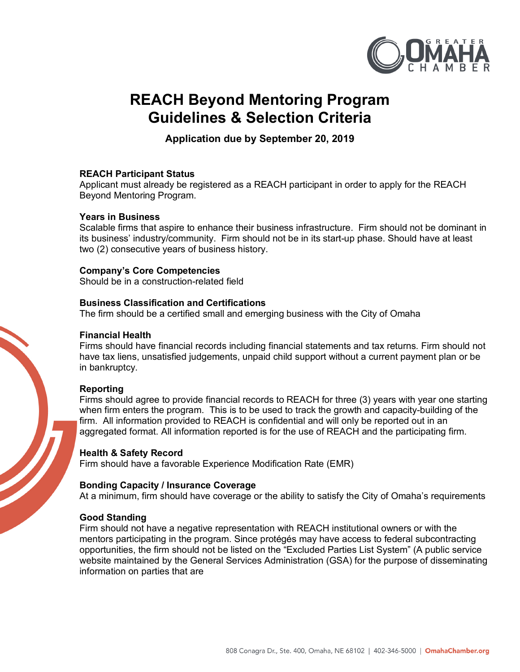

# **REACH Beyond Mentoring Program Guidelines & Selection Criteria**

**Application due by September 20, 2019**

# **REACH Participant Status**

Applicant must already be registered as a REACH participant in order to apply for the REACH Beyond Mentoring Program.

## **Years in Business**

Scalable firms that aspire to enhance their business infrastructure. Firm should not be dominant in its business' industry/community. Firm should not be in its start-up phase. Should have at least two (2) consecutive years of business history.

## **Company's Core Competencies**

Should be in a construction-related field

## **Business Classification and Certifications**

The firm should be a certified small and emerging business with the City of Omaha

## **Financial Health**

Firms should have financial records including financial statements and tax returns. Firm should not have tax liens, unsatisfied judgements, unpaid child support without a current payment plan or be in bankruptcy.

# **Reporting**

Firms should agree to provide financial records to REACH for three (3) years with year one starting when firm enters the program. This is to be used to track the growth and capacity-building of the firm. All information provided to REACH is confidential and will only be reported out in an aggregated format. All information reported is for the use of REACH and the participating firm.

# **Health & Safety Record**

Firm should have a favorable Experience Modification Rate (EMR)

# **Bonding Capacity / Insurance Coverage**

At a minimum, firm should have coverage or the ability to satisfy the City of Omaha's requirements

# **Good Standing**

Firm should not have a negative representation with REACH institutional owners or with the mentors participating in the program. Since protégés may have access to federal subcontracting opportunities, the firm should not be listed on the "Excluded Parties List System" (A public service website maintained by the General Services Administration (GSA) for the purpose of disseminating information on parties that are